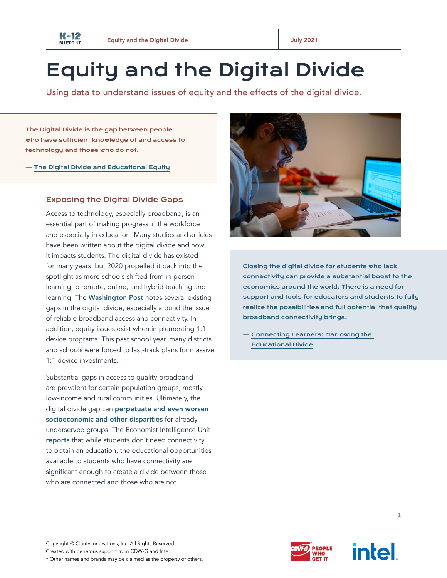

## Equity and the Digital Divide

Using data to understand issues of equity and the effects of the digital divide.

The Digital Divide is the gap between people who have sufficient knowledge of and access to technology and those who do not.

— [The Digital Divide and Educational Equity](https://www.act.org/content/dam/act/unsecured/documents/R1698-digital-divide-2018-08.pdf)

## Exposing the Digital Divide Gaps

Access to technology, especially broadband, is an essential part of making progress in the workforce and especially in education. Many studies and articles have been written about the digital divide and how it impacts students. The digital divide has existed for many years, but 2020 propelled it back into the spotlight as more schools shifted from in-person learning to remote, online, and hybrid teaching and learning. The [Washington Post](https://www.washingtonpost.com/local/education/dc-schools-online-access/2020/04/07/5a4f3d66-754c-11ea-85cb-8670579b863d_story.html) notes several existing gaps in the digital divide, especially around the issue of reliable broadband access and connectivity. In addition, equity issues exist when implementing 1:1 device programs. This past school year, many districts and schools were forced to fast-track plans for massive 1:1 device investments.

Substantial gaps in access to quality broadband are prevalent for certain population groups, mostly low-income and rural communities. Ultimately, the digital divide gap can perpetuate and even worsen [socioeconomic and other disparities](https://www.act.org/content/dam/act/unsecured/documents/R1698-digital-divide-2018-08.pdf) for already underserved groups. The Economist Intelligence Unit [reports](https://connectinglearners.economist.com/data/EIU_Ericsson_Connecting.pdf) that while students don't need connectivity to obtain an education, the educational opportunities available to students who have connectivity are significant enough to create a divide between those who are connected and those who are not.



Closing the digital divide for students who lack connectivity can provide a substantial boost to the economics around the world. There is a need for support and tools for educators and students to fully realize the possibilities and full potential that quality broadband connectivity brings.

— [Connecting Learners: Narrowing the](https://connectinglearners.economist.com/data/EIU_Ericsson_Connecting.pdf)  [Educational](https://connectinglearners.economist.com/data/EIU_Ericsson_Connecting.pdf) Divide





1